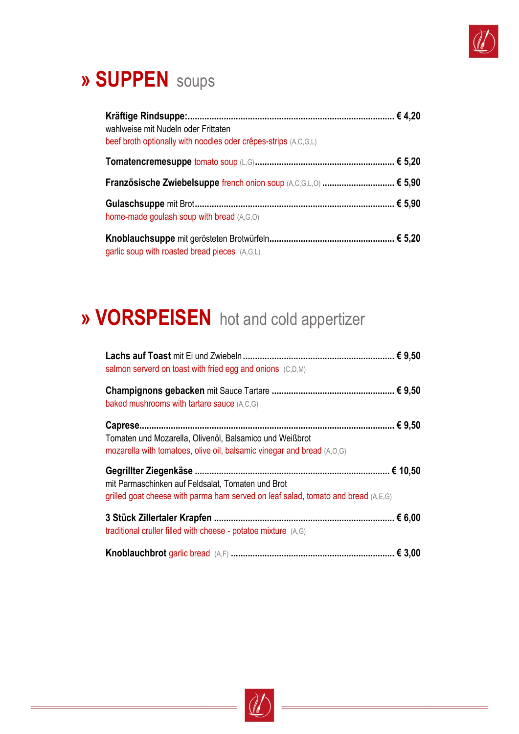

## » SUPPEN soups

| wahlweise mit Nudeln oder Frittaten<br>beef broth optionally with noodles oder crêpes-strips (A,C,G,L) |  |
|--------------------------------------------------------------------------------------------------------|--|
|                                                                                                        |  |
| Französische Zwiebelsuppe french onion soup (A,C,G,L,O)  € 5,90                                        |  |
| home-made goulash soup with bread (A,G,O)                                                              |  |
| garlic soup with roasted bread pieces (A,G,L)                                                          |  |

## » VORSPEISEN hot and cold appertizer

| salmon serverd on toast with fried egg and onions (C,D,M)                                                                              |
|----------------------------------------------------------------------------------------------------------------------------------------|
| baked mushrooms with tartare sauce (A,C,G)                                                                                             |
| Tomaten und Mozarella, Olivenöl, Balsamico und Weißbrot<br>mozarella with tomatoes, olive oil, balsamic vinegar and bread (A,O,G)      |
| mit Parmaschinken auf Feldsalat, Tomaten und Brot<br>grilled goat cheese with parma ham served on leaf salad, tomato and bread (A,E,G) |
| traditional cruller filled with cheese - potatoe mixture (A,G)                                                                         |
|                                                                                                                                        |

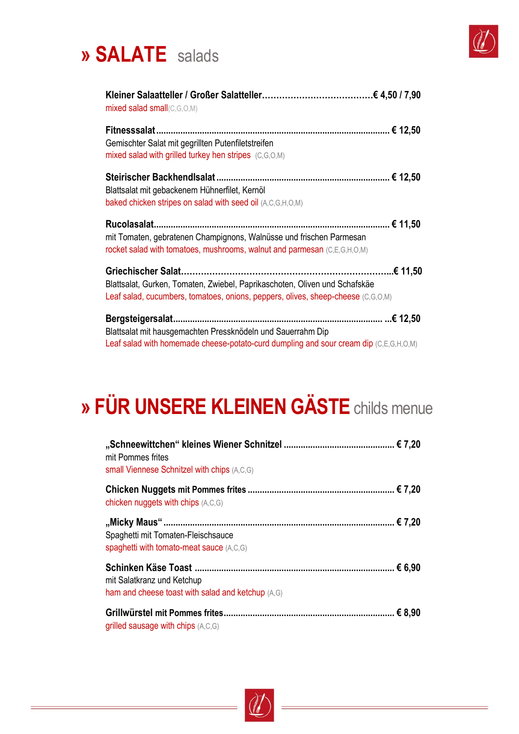



| mixed salad small(C,G,O,M)                                                                                                                                     |
|----------------------------------------------------------------------------------------------------------------------------------------------------------------|
| Gemischter Salat mit gegrillten Putenfiletstreifen<br>mixed salad with grilled turkey hen stripes (C,G,O,M)                                                    |
| Blattsalat mit gebackenem Hühnerfilet, Kernöl<br>baked chicken stripes on salad with seed oil (A,C,G,H,O,M)                                                    |
| mit Tomaten, gebratenen Champignons, Walnüsse und frischen Parmesan<br>rocket salad with tomatoes, mushrooms, walnut and parmesan (C,E,G,H,O,M)                |
| Blattsalat, Gurken, Tomaten, Zwiebel, Paprikaschoten, Oliven und Schafskäe<br>Leaf salad, cucumbers, tomatoes, onions, peppers, olives, sheep-cheese (C,G,O,M) |
| Blattsalat mit hausgemachten Pressknödeln und Sauerrahm Dip<br>Leaf salad with homemade cheese-potato-curd dumpling and sour cream dip (C,E,G,H,O,M)           |

# **» FÜR UNSERE KLEINEN GÄSTE** childs menue

| mit Pommes frites<br>small Viennese Schnitzel with chips (A,C,G)                |  |
|---------------------------------------------------------------------------------|--|
| chicken nuggets with chips (A,C,G)                                              |  |
| Spaghetti mit Tomaten-Fleischsauce<br>spaghetti with tomato-meat sauce (A,C,G)  |  |
| mit Salatkranz und Ketchup<br>ham and cheese toast with salad and ketchup (A,G) |  |
| grilled sausage with chips $(A, C, G)$                                          |  |

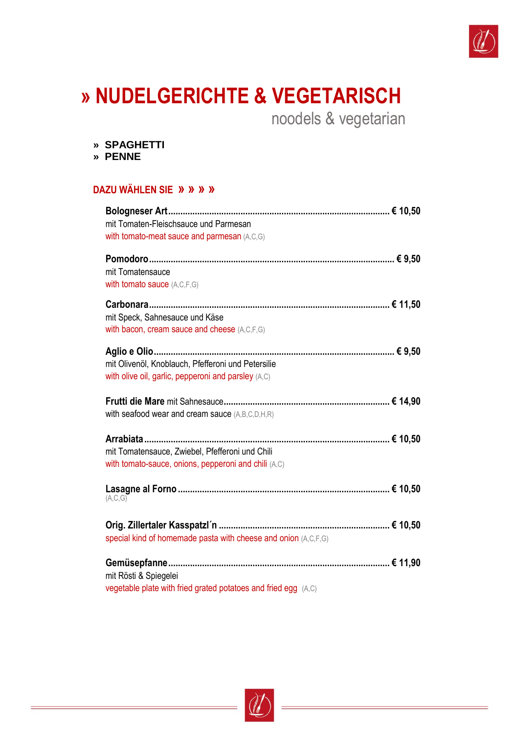

# **» NUDELGERICHTE & VEGETARISCH**

noodels & vegetarian

- **» SPAGHETTI**
- **» PENNE**

#### **DAZU WÄHLEN SIE » » » »**

| mit Tomaten-Fleischsauce und Parmesan                          |
|----------------------------------------------------------------|
| with tomato-meat sauce and parmesan (A,C,G)                    |
|                                                                |
| mit Tomatensauce                                               |
| with tomato sauce (A,C,F,G)                                    |
|                                                                |
| mit Speck, Sahnesauce und Käse                                 |
| with bacon, cream sauce and cheese (A,C,F,G)                   |
|                                                                |
|                                                                |
| mit Olivenöl, Knoblauch, Pfefferoni und Petersilie             |
| with olive oil, garlic, pepperoni and parsley (A,C)            |
|                                                                |
| with seafood wear and cream sauce (A,B,C,D,H,R)                |
|                                                                |
|                                                                |
| mit Tomatensauce, Zwiebel, Pfefferoni und Chili                |
| with tomato-sauce, onions, pepperoni and chili (A,C)           |
|                                                                |
| (A, C, G)                                                      |
|                                                                |
|                                                                |
| special kind of homemade pasta with cheese and onion (A,C,F,G) |
|                                                                |
|                                                                |
| mit Rösti & Spiegelei                                          |
| vegetable plate with fried grated potatoes and fried egg (A,C) |

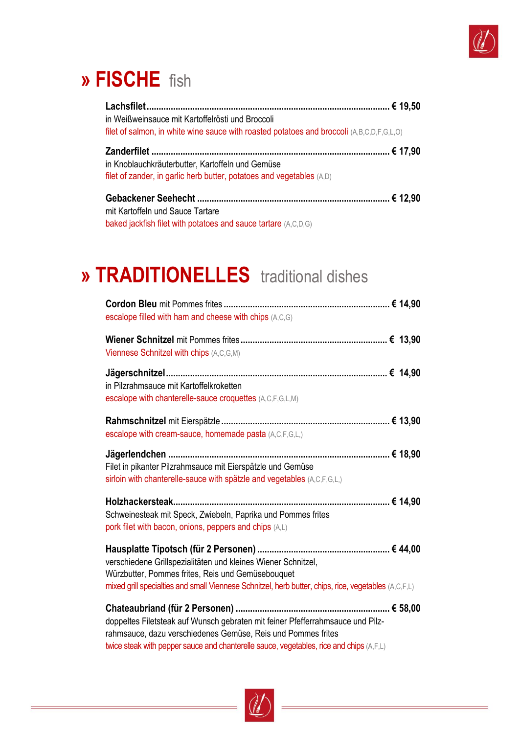

### » FISCHE fish

| in Weißweinsauce mit Kartoffelrösti und Broccoli<br>filet of salmon, in white wine sauce with roasted potatoes and broccoli (A,B,C,D,F,G,L,O) |
|-----------------------------------------------------------------------------------------------------------------------------------------------|
| in Knoblauchkräuterbutter, Kartoffeln und Gemüse<br>filet of zander, in garlic herb butter, potatoes and vegetables (A,D)                     |
| mit Kartoffeln und Sauce Tartare                                                                                                              |

baked jackfish filet with potatoes and sauce tartare (A,C,D,G)

## » TRADITIONELLES traditional dishes

| escalope filled with ham and cheese with chips (A,C,G)                                                                                                                                                                                    |
|-------------------------------------------------------------------------------------------------------------------------------------------------------------------------------------------------------------------------------------------|
| Viennese Schnitzel with chips (A,C,G,M)                                                                                                                                                                                                   |
| in Pilzrahmsauce mit Kartoffelkroketten<br>escalope with chanterelle-sauce croquettes (A,C,F,G,L,M)                                                                                                                                       |
| escalope with cream-sauce, homemade pasta (A,C,F,G,L,)                                                                                                                                                                                    |
| Filet in pikanter Pilzrahmsauce mit Eierspätzle und Gemüse<br>sirloin with chanterelle-sauce with spätzle and vegetables (A,C,F,G,L,)                                                                                                     |
| Holzhackersteak.<br>Schweinesteak mit Speck, Zwiebeln, Paprika und Pommes frites<br>pork filet with bacon, onions, peppers and chips (A,L)                                                                                                |
| verschiedene Grillspezialitäten und kleines Wiener Schnitzel,<br>Würzbutter, Pommes frites, Reis und Gemüsebouquet<br>mixed grill specialties and small Viennese Schnitzel, herb butter, chips, rice, vegetables (A,C,F,L)                |
| doppeltes Filetsteak auf Wunsch gebraten mit feiner Pfefferrahmsauce und Pilz-<br>rahmsauce, dazu verschiedenes Gemüse, Reis und Pommes frites<br>twice steak with pepper sauce and chanterelle sauce, vegetables, rice and chips (A,F,L) |

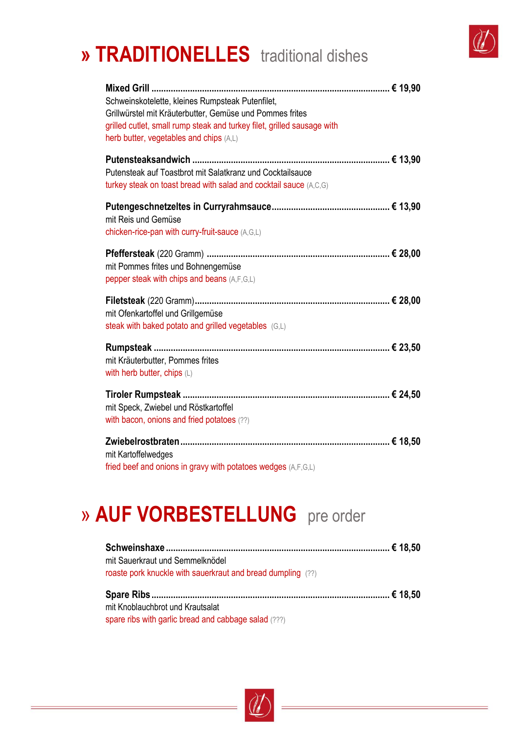## **» TRADITIONELLES** traditional dishes



| Schweinskotelette, kleines Rumpsteak Putenfilet,<br>Grillwürstel mit Kräuterbutter, Gemüse und Pommes frites<br>grilled cutlet, small rump steak and turkey filet, grilled sausage with<br>herb butter, vegetables and chips (A,L) |  |
|------------------------------------------------------------------------------------------------------------------------------------------------------------------------------------------------------------------------------------|--|
| Putensteak auf Toastbrot mit Salatkranz und Cocktailsauce<br>turkey steak on toast bread with salad and cocktail sauce (A,C,G)                                                                                                     |  |
| mit Reis und Gemüse<br>chicken-rice-pan with curry-fruit-sauce (A,G,L)                                                                                                                                                             |  |
| mit Pommes frites und Bohnengemüse<br>pepper steak with chips and beans (A,F,G,L)                                                                                                                                                  |  |
| mit Ofenkartoffel und Grillgemüse<br>steak with baked potato and grilled vegetables (G,L)                                                                                                                                          |  |
| mit Kräuterbutter, Pommes frites<br>with herb butter, chips (L)                                                                                                                                                                    |  |
| mit Speck, Zwiebel und Röstkartoffel<br>with bacon, onions and fried potatoes (??)                                                                                                                                                 |  |
| mit Kartoffelwedges<br>fried beef and onions in gravy with potatoes wedges (A,F,G,L)                                                                                                                                               |  |

#### » **AUF VORBESTELLUNG** pre order

| mit Sauerkraut und Semmelknödel                             |  |
|-------------------------------------------------------------|--|
| roaste pork knuckle with sauerkraut and bread dumpling (??) |  |
|                                                             |  |
|                                                             |  |
| mit Knoblauchbrot und Krautsalat                            |  |

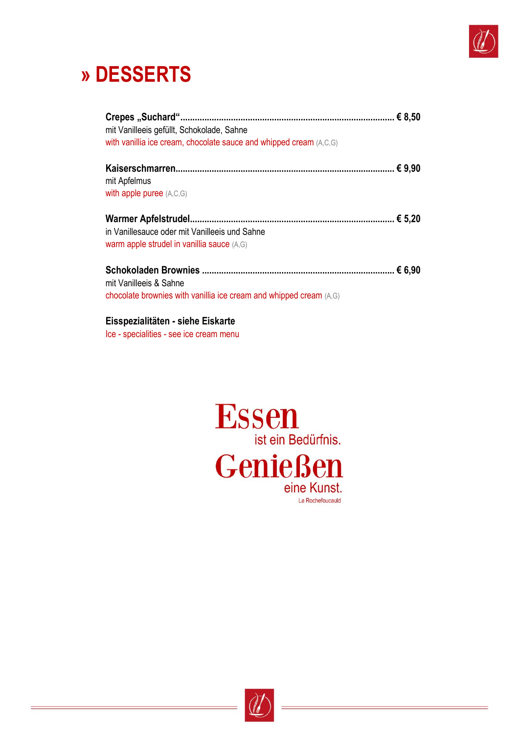

## **» DESSERTS**

| mit Vanilleeis gefüllt, Schokolade, Sahne<br>with vanillia ice cream, chocolate sauce and whipped cream (A,C,G) |  |
|-----------------------------------------------------------------------------------------------------------------|--|
| mit Apfelmus<br>with apple puree $(A, C, G)$                                                                    |  |
| in Vanillesauce oder mit Vanilleeis und Sahne<br>warm apple strudel in vanillia sauce (A,G)                     |  |
| mit Vanilleeis & Sahne<br>chocolate brownies with vanillia ice cream and whipped cream (A,G)                    |  |

#### **Eisspezialitäten - siehe Eiskarte**

Ice - specialities - see ice cream menu



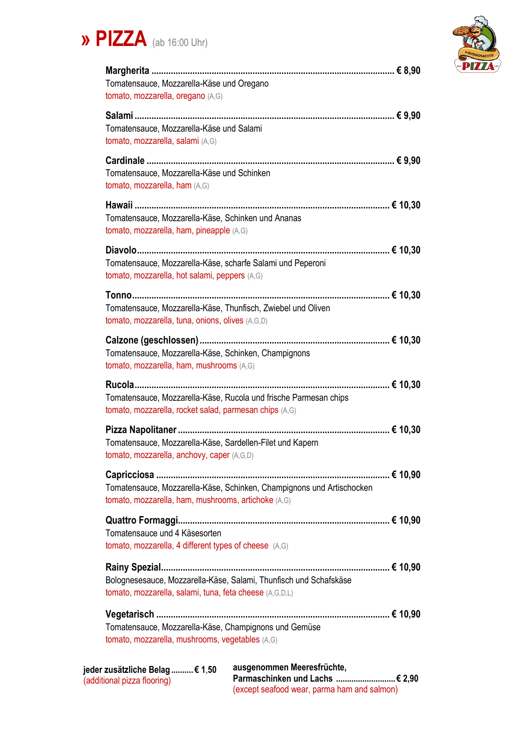



| Tomatensauce, Mozzarella-Käse und Oregano<br>tomato, mozzarella, oregano (A,G)                                               |
|------------------------------------------------------------------------------------------------------------------------------|
| Tomatensauce, Mozzarella-Käse und Salami<br>tomato, mozzarella, salami (A,G)                                                 |
| Tomatensauce, Mozzarella-Käse und Schinken<br>tomato, mozzarella, ham (A,G)                                                  |
| Tomatensauce, Mozzarella-Käse, Schinken und Ananas<br>tomato, mozzarella, ham, pineapple (A,G)                               |
| Tomatensauce, Mozzarella-Käse, scharfe Salami und Peperoni<br>tomato, mozzarella, hot salami, peppers (A,G)                  |
| Tomatensauce, Mozzarella-Käse, Thunfisch, Zwiebel und Oliven<br>tomato, mozzarella, tuna, onions, olives (A,G,D)             |
| Tomatensauce, Mozzarella-Käse, Schinken, Champignons<br>tomato, mozzarella, ham, mushrooms (A,G)                             |
| Tomatensauce, Mozzarella-Käse, Rucola und frische Parmesan chips<br>tomato, mozzarella, rocket salad, parmesan chips (A,G)   |
| Tomatensauce, Mozzarella-Käse, Sardellen-Filet und Kapern<br>tomato, mozzarella, anchovy, caper (A,G,D)                      |
| Tomatensauce, Mozzarella-Käse, Schinken, Champignons und Artischocken<br>tomato, mozzarella, ham, mushrooms, artichoke (A,G) |
| Tomatensauce und 4 Käsesorten<br>tomato, mozzarella, 4 different types of cheese (A,G)                                       |
| Bolognesesauce, Mozzarella-Käse, Salami, Thunfisch und Schafskäse<br>tomato, mozzarella, salami, tuna, feta cheese (A,G,D,L) |
| Tomatensauce, Mozzarella-Käse, Champignons und Gemüse<br>tomato, mozzarella, mushrooms, vegetables (A,G)                     |
| ausgenommen Meeresfrüchte,<br><sup>.</sup> zusätzliche Belag € 1.50                                                          |

| jeder zusätzliche Belag  € 1,50 | ausgenommen Meerestrüchte.                  |  |
|---------------------------------|---------------------------------------------|--|
| (additional pizza flooring)     |                                             |  |
|                                 | (except seafood wear, parma ham and salmon) |  |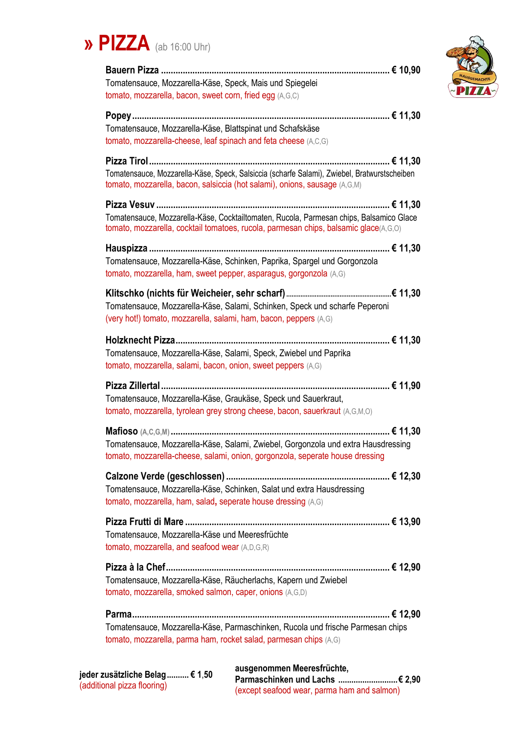



| Tomatensauce, Mozzarella-Käse, Speck, Mais und Spiegelei<br>tomato, mozzarella, bacon, sweet corn, fried egg (A,G,C)                                                            |
|---------------------------------------------------------------------------------------------------------------------------------------------------------------------------------|
|                                                                                                                                                                                 |
| Tomatensauce, Mozzarella-Käse, Blattspinat und Schafskäse                                                                                                                       |
| tomato, mozzarella-cheese, leaf spinach and feta cheese (A,C,G)                                                                                                                 |
| Tomatensauce, Mozzarella-Käse, Speck, Salsiccia (scharfe Salami), Zwiebel, Bratwurstscheiben<br>tomato, mozzarella, bacon, salsiccia (hot salami), onions, sausage (A,G,M)      |
|                                                                                                                                                                                 |
| Tomatensauce, Mozzarella-Käse, Cocktailtomaten, Rucola, Parmesan chips, Balsamico Glace<br>tomato, mozzarella, cocktail tomatoes, rucola, parmesan chips, balsamic glace(A,G,O) |
|                                                                                                                                                                                 |
| Tomatensauce, Mozzarella-Käse, Schinken, Paprika, Spargel und Gorgonzola<br>tomato, mozzarella, ham, sweet pepper, asparagus, gorgonzola (A,G)                                  |
|                                                                                                                                                                                 |
| Tomatensauce, Mozzarella-Käse, Salami, Schinken, Speck und scharfe Peperoni<br>(very hot!) tomato, mozzarella, salami, ham, bacon, peppers (A,G)                                |
|                                                                                                                                                                                 |
| Tomatensauce, Mozzarella-Käse, Salami, Speck, Zwiebel und Paprika<br>tomato, mozzarella, salami, bacon, onion, sweet peppers (A,G)                                              |
| Tomatensauce, Mozzarella-Käse, Graukäse, Speck und Sauerkraut,<br>tomato, mozzarella, tyrolean grey strong cheese, bacon, sauerkraut (A,G,M,O)                                  |
| Tomatensauce, Mozzarella-Käse, Salami, Zwiebel, Gorgonzola und extra Hausdressing<br>tomato, mozzarella-cheese, salami, onion, gorgonzola, seperate house dressing              |
| Tomatensauce, Mozzarella-Käse, Schinken, Salat und extra Hausdressing<br>tomato, mozzarella, ham, salad, seperate house dressing (A,G)                                          |
| Tomatensauce, Mozzarella-Käse und Meeresfrüchte<br>tomato, mozzarella, and seafood wear (A,D,G,R)                                                                               |
| Tomatensauce, Mozzarella-Käse, Räucherlachs, Kapern und Zwiebel<br>tomato, mozzarella, smoked salmon, caper, onions (A,G,D)                                                     |
| Tomatensauce, Mozzarella-Käse, Parmaschinken, Rucola und frische Parmesan chips<br>tomato, mozzarella, parma ham, rocket salad, parmesan chips (A,G)                            |

**ausgenommen Meeresfrüchte, Parmaschinken und Lachs ...........................€ 2,90** (except seafood wear, parma ham and salmon)